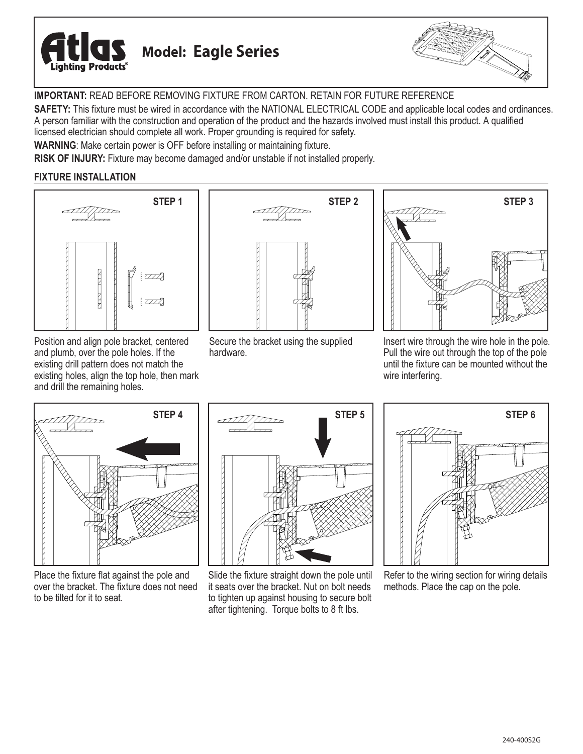



**IMPORTANT:** READ BEFORE REMOVING FIXTURE FROM CARTON. RETAIN FOR FUTURE REFERENCE

**SAFETY:** This fixture must be wired in accordance with the NATIONAL ELECTRICAL CODE and applicable local codes and ordinances. A person familiar with the construction and operation of the product and the hazards involved must install this product. A qualified licensed electrician should complete all work. Proper grounding is required for safety.

**WARNING**: Make certain power is OFF before installing or maintaining fixture.

**RISK OF INJURY:** Fixture may become damaged and/or unstable if not installed properly.

# **FIXTURE INSTALLATION**



Position and align pole bracket, centered and plumb, over the pole holes. If the existing drill pattern does not match the existing holes, align the top hole, then mark and drill the remaining holes.



Secure the bracket using the supplied hardware.



Insert wire through the wire hole in the pole. Pull the wire out through the top of the pole until the fixture can be mounted without the wire interfering.



Place the fixture flat against the pole and over the bracket. The fixture does not need to be tilted for it to seat.



Slide the fixture straight down the pole until it seats over the bracket. Nut on bolt needs to tighten up against housing to secure bolt after tightening. Torque bolts to 8 ft lbs.



Refer to the wiring section for wiring details methods. Place the cap on the pole.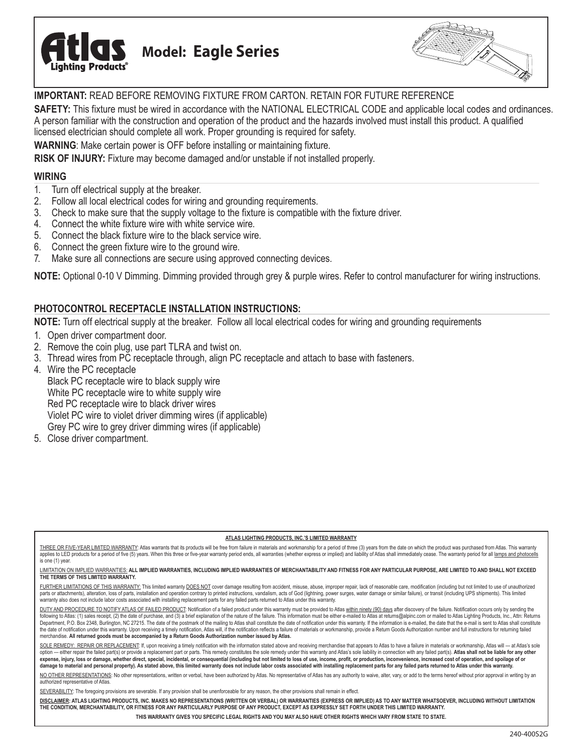



# **IMPORTANT:** READ BEFORE REMOVING FIXTURE FROM CARTON. RETAIN FOR FUTURE REFERENCE

**SAFETY:** This fixture must be wired in accordance with the NATIONAL ELECTRICAL CODE and applicable local codes and ordinances. A person familiar with the construction and operation of the product and the hazards involved must install this product. A qualified licensed electrician should complete all work. Proper grounding is required for safety.

**WARNING**: Make certain power is OFF before installing or maintaining fixture.

**RISK OF INJURY:** Fixture may become damaged and/or unstable if not installed properly.

### **WIRING**

- 1. Turn off electrical supply at the breaker.
- 2. Follow all local electrical codes for wiring and grounding requirements.
- 3. Check to make sure that the supply voltage to the fixture is compatible with the fixture driver.
- 
- 4. Connect the white fixture wire with white service wire.<br>5. Connect the black fixture wire to the black service wire 5. Connect the black fixture wire to the black service wire.
- 6. Connect the green fixture wire to the ground wire.
- 7. Make sure all connections are secure using approved connecting devices.

**NOTE:** Optional 0-10 V Dimming. Dimming provided through grey & purple wires. Refer to control manufacturer for wiring instructions.

## **PHOTOCONTROL RECEPTACLE INSTALLATION INSTRUCTIONS:**

**NOTE:** Turn off electrical supply at the breaker. Follow all local electrical codes for wiring and grounding requirements

- 1. Open driver compartment door.
- 2. Remove the coin plug, use part TLRA and twist on.
- 3. Thread wires from PC receptacle through, align PC receptacle and attach to base with fasteners.
- 4. Wire the PC receptacle

 Black PC receptacle wire to black supply wire White PC receptacle wire to white supply wire Red PC receptacle wire to black driver wires Violet PC wire to violet driver dimming wires (if applicable) Grey PC wire to grey driver dimming wires (if applicable)

5. Close driver compartment.

#### **ATLAS LIGHTING PRODUCTS, INC.'S LIMITED WARRANTY**

THREE OR FIVE-YEAR LIMITED WARRANTY: Atlas warrants that its products will be free from failure in materials and workmanship for a period of three (3) years from the date on which the product was purchased from Atlas. This applies to LED products for a period of five (5) years. When this three or five-year warranty period ends, all warranties (whether express or implied) and liability of Atlas shall immediately cease. The warranty period for is one (1) year.

#### LIMITATION ON IMPLIED WARRANTIES: **ALL IMPLIED WARRANTIES, INCLUDING IMPLIED WARRANTIES OF MERCHANTABILITY AND FITNESS FOR ANY PARTICULAR PURPOSE, ARE LIMITED TO AND SHALL NOT EXCEED THE TERMS OF THIS LIMITED WARRANTY.**

FURTHER LIMITATIONS OF THIS WARRANTY: This limited warranty DOES NOT cover damage resulting from accident, misuse, abuse, improper repair, lack of reasonable care, modification (including but not limited to use of unauthor parts or attachments), alteration, loss of parts, installation and operation contrary to printed instructions, vandalism, acts of God (lightning, power surges, water damage or similar failure), or transit (including UPS sh warranty also does not include labor costs associated with installing replacement parts for any failed parts returned to Atlas under this warranty.

DUTY AND PROCEDURE TO NOTIFY ATLAS OF FAILED PRODUCT: Notification of a failed product under this warranty must be provided to Atlas within ninety (90) days after discovery of the failure. Notification occurs only by sendi following to Atlas: (1) sales receipt, (2) the date of purchase, and (3) a brief explanation of the nature of the failure. This information must be either e-mailed to Atlas at returns@alpinc.com or mailed to Atlas Lighting ent, P.O. Box 2348, Burlington, NC 27215. The date of the postmark of the mailing to Atlas shall constitute the date of notification under this warranty. If the information is e-mailed, the date that the e-mail is sent to the date of notification under this warranty. Upon receiving a timely notification, Atlas will, if the notification reflects a failure of materials or workmanship, provide a Return Goods Authorization number and full instr merchandise. **All returned goods must be accompanied by a Return Goods Authorization number issued by Atlas.**

SOLE REMEDY: REPAIR OR REPLACEMENT: If, upon receiving a timely notification with the information stated above and receiving merchandise that appears to Atlas to have a failure in materials or workmanship, Atlas will -- at option - either repair the failed part(s) or provide a replacement part or parts. This remedy constitutes the sole remedy under this warranty and Atlas's sole liability in connection with any failed part(s). Atlas shall no expense, injury, loss or damage, whether direct, special, incidental, or consequential (including but not limited to loss of use, income, profit, or production, inconvenience, increased cost of operation, and spoilage of o **damage to material and personal property). As stated above, this limited warranty does not include labor costs associated with installing replacement parts for any failed parts returned to Atlas under this warranty.**

NO OTHER REPRESENTATIONS: No other representations, written or verbal, have been authorized by Atlas. No representative of Atlas has any authority to waive, alter, vary, or add to the terms hereof without prior approval in authorized representative of Atlas.

SEVERABILITY: The foregoing provisions are severable. If any provision shall be unenforceable for any reason, the other provisions shall remain in effect.

**DISCLAIMER: ATLAS LIGHTING PRODUCTS, INC. MAKES NO REPRESENTATIONS (WRITTEN OR VERBAL) OR WARRANTIES (EXPRESS OR IMPLIED) AS TO ANY MATTER WHATSOEVER, INCLUDING WITHOUT LIMITATION THE CONDITION, MERCHANTABILITY, OR FITNESS FOR ANY PARTICULARLY PURPOSE OF ANY PRODUCT, EXCEPT AS EXPRESSLY SET FORTH UNDER THIS LIMITED WARRANTY.** 

**THIS WARRANTY GIVES YOU SPECIFIC LEGAL RIGHTS AND YOU MAY ALSO HAVE OTHER RIGHTS WHICH VARY FROM STATE TO STATE.**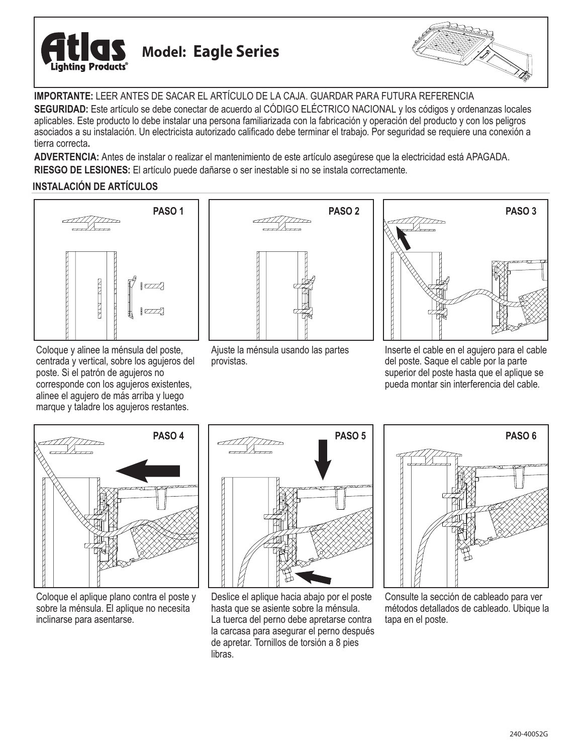



**IMPORTANTE:** LEER ANTES DE SACAR EL ARTÍCULO DE LA CAJA. GUARDAR PARA FUTURA REFERENCIA

**SEGURIDAD:** Este artículo se debe conectar de acuerdo al CÓDIGO ELÉCTRICO NACIONAL y los códigos y ordenanzas locales aplicables. Este producto lo debe instalar una persona familiarizada con la fabricación y operación del producto y con los peligros asociados a su instalación. Un electricista autorizado calificado debe terminar el trabajo. Por seguridad se requiere una conexión a tierra correcta**.**

**ADVERTENCIA:** Antes de instalar o realizar el mantenimiento de este artículo asegúrese que la electricidad está APAGADA. **RIESGO DE LESIONES:** El artículo puede dañarse o ser inestable si no se instala correctamente.

# **INSTALACIÓN DE ARTÍCULOS**



Coloque y alinee la ménsula del poste, centrada y vertical, sobre los agujeros del poste. Si el patrón de agujeros no corresponde con los agujeros existentes, alinee el agujero de más arriba y luego marque y taladre los agujeros restantes.



Ajuste la ménsula usando las partes provistas.



Inserte el cable en el agujero para el cable del poste. Saque el cable por la parte superior del poste hasta que el aplique se pueda montar sin interferencia del cable.



Coloque el aplique plano contra el poste y sobre la ménsula. El aplique no necesita inclinarse para asentarse.



Deslice el aplique hacia abajo por el poste hasta que se asiente sobre la ménsula. La tuerca del perno debe apretarse contra la carcasa para asegurar el perno después de apretar. Tornillos de torsión a 8 pies libras.



Consulte la sección de cableado para ver métodos detallados de cableado. Ubique la tapa en el poste.